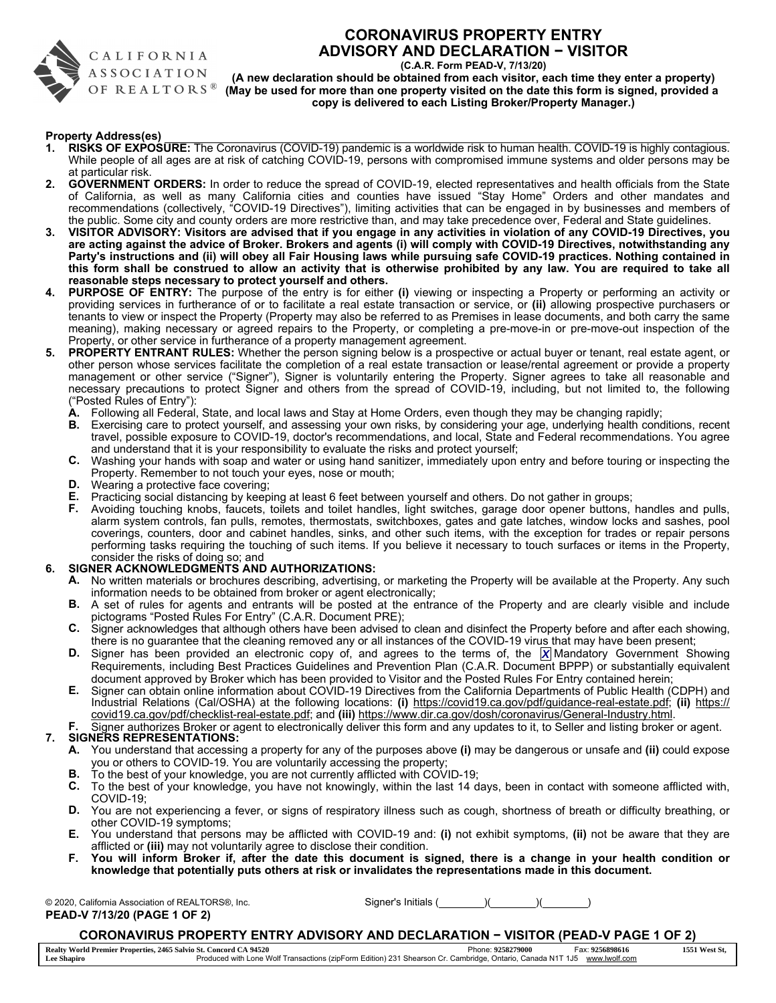

### CALIFORNIA **ASSOCIATION** OF REALTORS<sup>®</sup>

### CORONAVIRUS PROPERTY ENTRY ADVISORY AND DECLARATION − VISITOR

(C.A.R. Form PEAD-V, 7/13/20)

(A new declaration should be obtained from each visitor, each time they enter a property) (May be used for more than one property visited on the date this form is signed, provided a copy is delivered to each Listing Broker/Property Manager.)

#### Property Address(es)

- 1. RISKS OF EXPOSURE: The Coronavirus (COVID-19) pandemic is a worldwide risk to human health. COVID-19 is highly contagious. While people of all ages are at risk of catching COVID-19, persons with compromised immune systems and older persons may be at particular risk.
- 2. GOVERNMENT ORDERS: In order to reduce the spread of COVID-19, elected representatives and health officials from the State of California, as well as many California cities and counties have issued "Stay Home" Orders and other mandates and recommendations (collectively, "COVID-19 Directives"), limiting activities that can be engaged in by businesses and members of the public. Some city and county orders are more restrictive than, and may take precedence over, Federal and State guidelines.
- 3. VISITOR ADVISORY: Visitors are advised that if you engage in any activities in violation of any COVID-19 Directives, you are acting against the advice of Broker. Brokers and agents (i) will comply with COVID-19 Directives, notwithstanding any Party's instructions and (ii) will obey all Fair Housing laws while pursuing safe COVID-19 practices. Nothing contained in this form shall be construed to allow an activity that is otherwise prohibited by any law. You are required to take all reasonable steps necessary to protect yourself and others.
- 4. PURPOSE OF ENTRY: The purpose of the entry is for either (i) viewing or inspecting a Property or performing an activity or providing services in furtherance of or to facilitate a real estate transaction or service, or (ii) allowing prospective purchasers or tenants to view or inspect the Property (Property may also be referred to as Premises in lease documents, and both carry the same meaning), making necessary or agreed repairs to the Property, or completing a pre-move-in or pre-move-out inspection of the Property, or other service in furtherance of a property management agreement.
- 5. PROPERTY ENTRANT RULES: Whether the person signing below is a prospective or actual buyer or tenant, real estate agent, or other person whose services facilitate the completion of a real estate transaction or lease/rental agreement or provide a property management or other service ("Signer"), Signer is voluntarily entering the Property. Signer agrees to take all reasonable and necessary precautions to protect Signer and others from the spread of COVID-19, including, but not limited to, the following ("Posted Rules of Entry"):
	- A. Following all Federal, State, and local laws and Stay at Home Orders, even though they may be changing rapidly;
	- B. Exercising care to protect yourself, and assessing your own risks, by considering your age, underlying health conditions, recent travel, possible exposure to COVID-19, doctor's recommendations, and local, State and Federal recommendations. You agree and understand that it is your responsibility to evaluate the risks and protect yourself;
	- C. Washing your hands with soap and water or using hand sanitizer, immediately upon entry and before touring or inspecting the Property. Remember to not touch your eyes, nose or mouth;
	- D. Wearing a protective face covering;
	- E. Practicing social distancing by keeping at least 6 feet between yourself and others. Do not gather in groups;
	- F. Avoiding touching knobs, faucets, toilets and toilet handles, light switches, garage door opener buttons, handles and pulls, alarm system controls, fan pulls, remotes, thermostats, switchboxes, gates and gate latches, window locks and sashes, pool coverings, counters, door and cabinet handles, sinks, and other such items, with the exception for trades or repair persons performing tasks requiring the touching of such items. If you believe it necessary to touch surfaces or items in the Property, consider the risks of doing so; and

#### 6. SIGNER ACKNOWLEDGMENTS AND AUTHORIZATIONS:

- A. No written materials or brochures describing, advertising, or marketing the Property will be available at the Property. Any such information needs to be obtained from broker or agent electronically;
- B. A set of rules for agents and entrants will be posted at the entrance of the Property and are clearly visible and include pictograms "Posted Rules For Entry" (C.A.R. Document PRE);
- C. Signer acknowledges that although others have been advised to clean and disinfect the Property before and after each showing, there is no guarantee that the cleaning removed any or all instances of the COVID-19 virus that may have been present;
- D. Signer has been provided an electronic copy of, and agrees to the terms of, the **X** Mandatory Government Showing Requirements, including Best Practices Guidelines and Prevention Plan (C.A.R. Document BPPP) or substantially equivalent document approved by Broker which has been provided to Visitor and the Posted Rules For Entry contained herein;
- E. Signer can obtain online information about COVID-19 Directives from the California Departments of Public Health (CDPH) and Industrial Relations (Cal/OSHA) at the following locations: (i) https://covid19.ca.gov/pdf/guidance-real-estate.pdf; (ii) https:// covid19.ca.gov/pdf/checklist-real-estate.pdf; and (iii) https://www.dir.ca.gov/dosh/coronavirus/General-Industry.html.
- Signer authorizes Broker or agent to electronically deliver this form and any updates to it, to Seller and listing broker or agent.

#### 7. SIGNERS REPRESENTATIONS:

- A. You understand that accessing a property for any of the purposes above (i) may be dangerous or unsafe and (ii) could expose you or others to COVID-19. You are voluntarily accessing the property;
- B. To the best of your knowledge, you are not currently afflicted with COVID-19;
- C. To the best of your knowledge, you have not knowingly, within the last 14 days, been in contact with someone afflicted with, COVID-19;
- D. You are not experiencing a fever, or signs of respiratory illness such as cough, shortness of breath or difficulty breathing, or other COVID-19 symptoms;
- E. You understand that persons may be afflicted with COVID-19 and: (i) not exhibit symptoms, (ii) not be aware that they are afflicted or (iii) may not voluntarily agree to disclose their condition.
- F. You will inform Broker if, after the date this document is signed, there is a change in your health condition or knowledge that potentially puts others at risk or invalidates the representations made in this document.

PEAD-V 7/13/20 (PAGE 1 OF 2)

© 2020, California Association of REALTORS®, Inc. Supertive state of Signer's Initials ( ) ( ) ( ) ( )

#### CORONAVIRUS PROPERTY ENTRY ADVISORY AND DECLARATION − VISITOR (PEAD-V PAGE 1 OF 2)

 Phone: Fax: Produced with Lone Wolf Transactions (zipForm Edition) 231 Shearson Cr. Cambridge, Ontario, Canada N1T 1J5 www.lwolf.com **Realty World Premier Properties, 2465 Salvio St. Concord CA 94520 9258279000 9256898616 1551 West St, Lee Shapiro**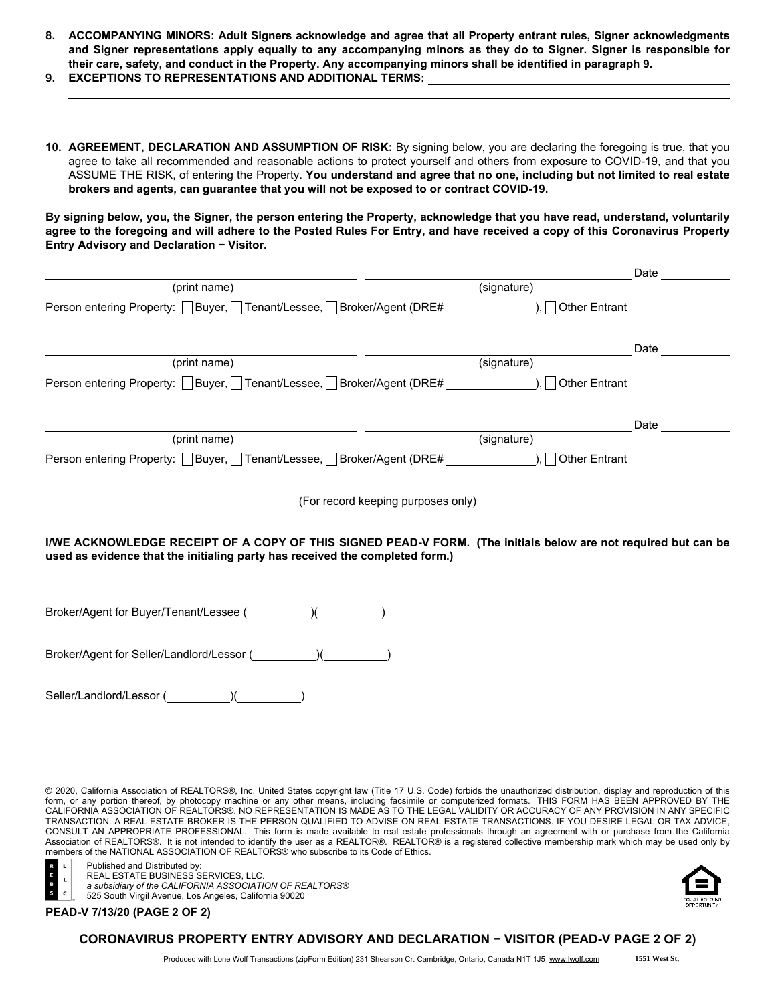- 8. ACCOMPANYING MINORS: Adult Signers acknowledge and agree that all Property entrant rules, Signer acknowledgments and Signer representations apply equally to any accompanying minors as they do to Signer. Signer is responsible for their care, safety, and conduct in the Property. Any accompanying minors shall be identified in paragraph 9. 9. EXCEPTIONS TO REPRESENTATIONS AND ADDITIONAL TERMS:
- 10. AGREEMENT, DECLARATION AND ASSUMPTION OF RISK: By signing below, you are declaring the foregoing is true, that you agree to take all recommended and reasonable actions to protect yourself and others from exposure to COVID-19, and that you

ASSUME THE RISK, of entering the Property. You understand and agree that no one, including but not limited to real estate brokers and agents, can guarantee that you will not be exposed to or contract COVID-19.

By signing below, you, the Signer, the person entering the Property, acknowledge that you have read, understand, voluntarily agree to the foregoing and will adhere to the Posted Rules For Entry, and have received a copy of this Coronavirus Property Entry Advisory and Declaration − Visitor.

|                                                                                                                |                                    | Date |
|----------------------------------------------------------------------------------------------------------------|------------------------------------|------|
| (print name)                                                                                                   | (signature)                        |      |
| Person entering Property:   Buyer,   Tenant/Lessee,   Broker/Agent (DRE#                                       | <b>Other Entrant</b>               |      |
|                                                                                                                |                                    | Date |
| (print name)                                                                                                   | (signature)                        |      |
| Person entering Property: □Buyer, □Tenant/Lessee, □Broker/Agent (DRE#                                          | <b>Other Entrant</b>               |      |
|                                                                                                                |                                    | Date |
| (print name)                                                                                                   | (signature)                        |      |
| Person entering Property: □ Buyer, □ Tenant/Lessee, □ Broker/Agent (DRE#                                       | <b>Other Entrant</b>               |      |
|                                                                                                                | (For record keeping purposes only) |      |
| I/WE ACKNOWLEDGE RECEIPT OF A COPY OF THIS SIGNED PEAD-V FORM. (The initials below are not required but can be |                                    |      |

used as evidence that the initialing party has received the completed form.)

Broker/Agent for Buyer/Tenant/Lessee ( )(

Broker/Agent for Seller/Landlord/Lessor ( ) ( )

Seller/Landlord/Lessor (
)

© 2020, California Association of REALTORS®, Inc. United States copyright law (Title 17 U.S. Code) forbids the unauthorized distribution, display and reproduction of this form, or any portion thereof, by photocopy machine or any other means, including facsimile or computerized formats. THIS FORM HAS BEEN APPROVED BY THE<br>CALIFORNIA ASSOCIATION OF REALTORS®. NO REPRESENTATION IS MADE AS TO TH TRANSACTION. A REAL ESTATE BROKER IS THE PERSON QUALIFIED TO ADVISE ON REAL ESTATE TRANSACTIONS. IF YOU DESIRE LEGAL OR TAX ADVICE, CONSULT AN APPROPRIATE PROFESSIONAL. This form is made available to real estate professionals through an agreement with or purchase from the California Association of REALTORS®. It is not intended to identify the user as a REALTOR®. REALTOR® is a registered collective membership mark which may be used only by members of the NATIONAL ASSOCIATION OF REALTORS® who subscribe to its Code of Ethics.



Published and Distributed by: REAL ESTATE BUSINESS SERVICES, LLC.

*a subsidiary of the CALIFORNIA ASSOCIATION OF REALTORS®* 525 South Virgil Avenue, Los Angeles, California 90020





#### CORONAVIRUS PROPERTY ENTRY ADVISORY AND DECLARATION − VISITOR (PEAD-V PAGE 2 OF 2)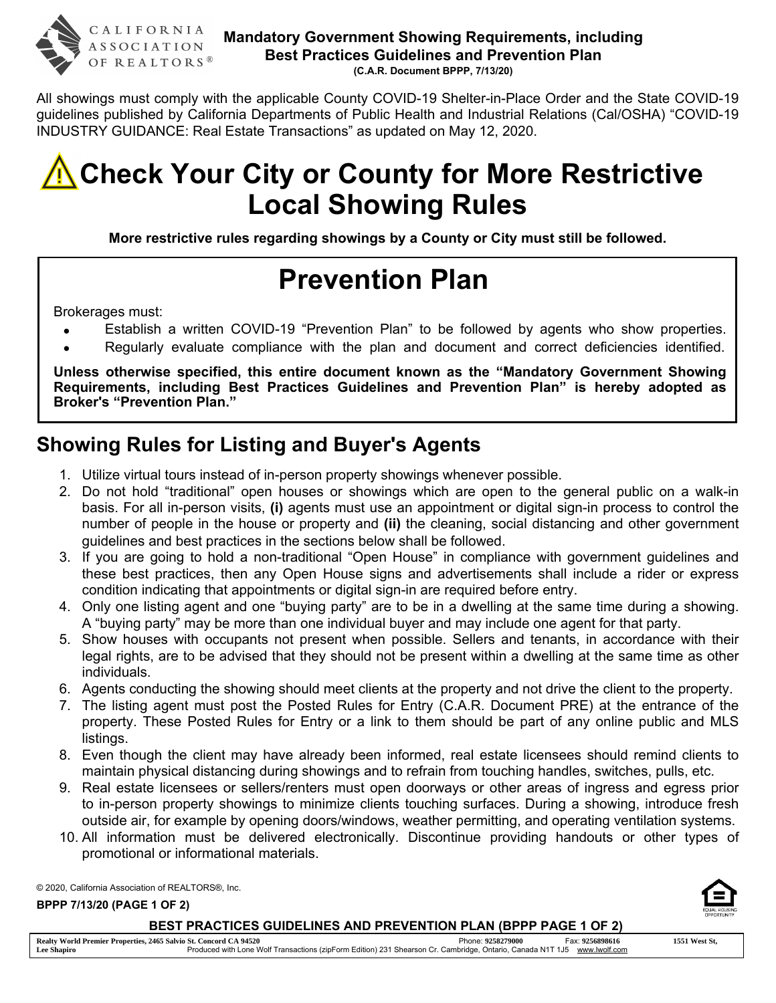

All showings must comply with the applicable County COVID-19 Shelter-in-Place Order and the State COVID-19 guidelines published by California Departments of Public Health and Industrial Relations (Cal/OSHA) "COVID-19 INDUSTRY GUIDANCE: Real Estate Transactions" as updated on May 12, 2020.



More restrictive rules regarding showings by a County or City must still be followed.

# Prevention Plan

Brokerages must:

- Establish a written COVID-19 "Prevention Plan" to be followed by agents who show properties.
- Regularly evaluate compliance with the plan and document and correct deficiencies identified.

Unless otherwise specified, this entire document known as the "Mandatory Government Showing Requirements, including Best Practices Guidelines and Prevention Plan" is hereby adopted as Broker's "Prevention Plan."

# Showing Rules for Listing and Buyer's Agents

- 1. Utilize virtual tours instead of in-person property showings whenever possible.
- 2. Do not hold "traditional" open houses or showings which are open to the general public on a walk-in basis. For all in-person visits, (i) agents must use an appointment or digital sign-in process to control the number of people in the house or property and (ii) the cleaning, social distancing and other government guidelines and best practices in the sections below shall be followed.
- 3. If you are going to hold a non-traditional "Open House" in compliance with government guidelines and these best practices, then any Open House signs and advertisements shall include a rider or express condition indicating that appointments or digital sign-in are required before entry.
- 4. Only one listing agent and one "buying party" are to be in a dwelling at the same time during a showing. A "buying party" may be more than one individual buyer and may include one agent for that party.
- 5. Show houses with occupants not present when possible. Sellers and tenants, in accordance with their legal rights, are to be advised that they should not be present within a dwelling at the same time as other individuals.
- 6. Agents conducting the showing should meet clients at the property and not drive the client to the property.
- 7. The listing agent must post the Posted Rules for Entry (C.A.R. Document PRE) at the entrance of the property. These Posted Rules for Entry or a link to them should be part of any online public and MLS listings.
- 8. Even though the client may have already been informed, real estate licensees should remind clients to maintain physical distancing during showings and to refrain from touching handles, switches, pulls, etc.
- 9. Real estate licensees or sellers/renters must open doorways or other areas of ingress and egress prior to in-person property showings to minimize clients touching surfaces. During a showing, introduce fresh outside air, for example by opening doors/windows, weather permitting, and operating ventilation systems.
- 10. All information must be delivered electronically. Discontinue providing handouts or other types of promotional or informational materials.

© 2020, California Association of REALTORS®, Inc.

BPPP 7/13/20 (PAGE 1 OF 2)

BEST PRACTICES GUIDELINES AND PREVENTION PLAN (BPPP PAGE 1 OF 2)